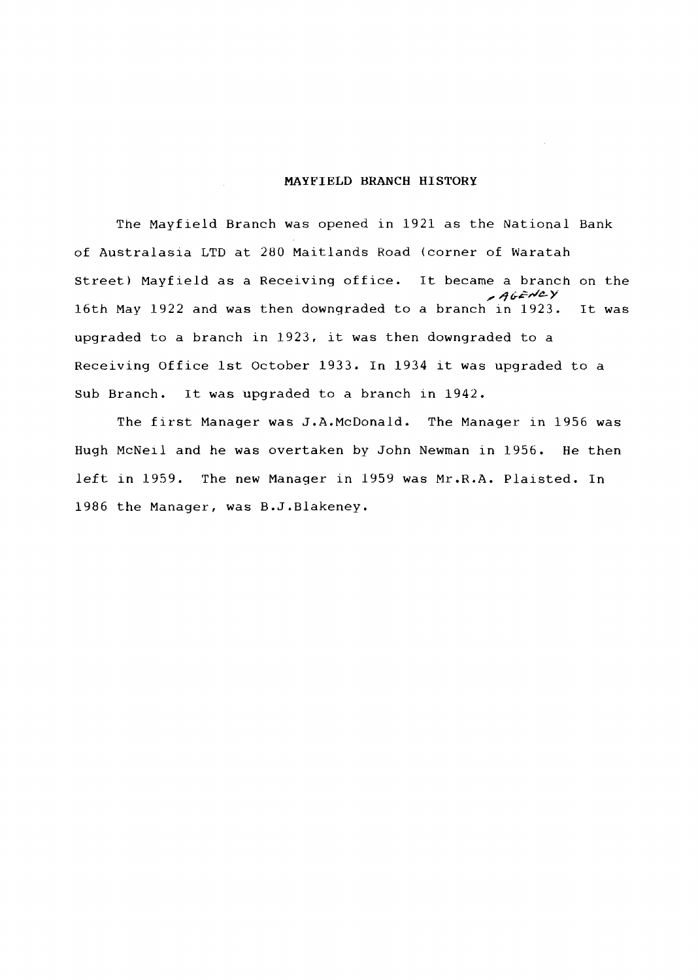## **MAYFIELD BRANCH HISTORY**

The Mayfield Branch was opened in 1921 as the National Bank of Australasia LTD at 280 Maitlands Road (corner of Waratah Street) Mayfield as a Receiving office. It became a branch on the **,d &id& Y**  16th May 1922 and was then downgraded to a branch in 1923. It was upgraded to a branch in 1923, it was then downgraded to a Receiving Office 1st October 1933. In 1934 it was upgraded to a Sub Branch. It was upgraded to a branch in 1942.

The first Manager was J.A.McDonald. The Manager in 1956 was Hugh McNeil and he was overtaken by John Newman in 1956. He then left in 1959. The new Manager in 1959 was Mr.R.A. Plaisted. In 1986 the Manager, was B.J.Blakeney.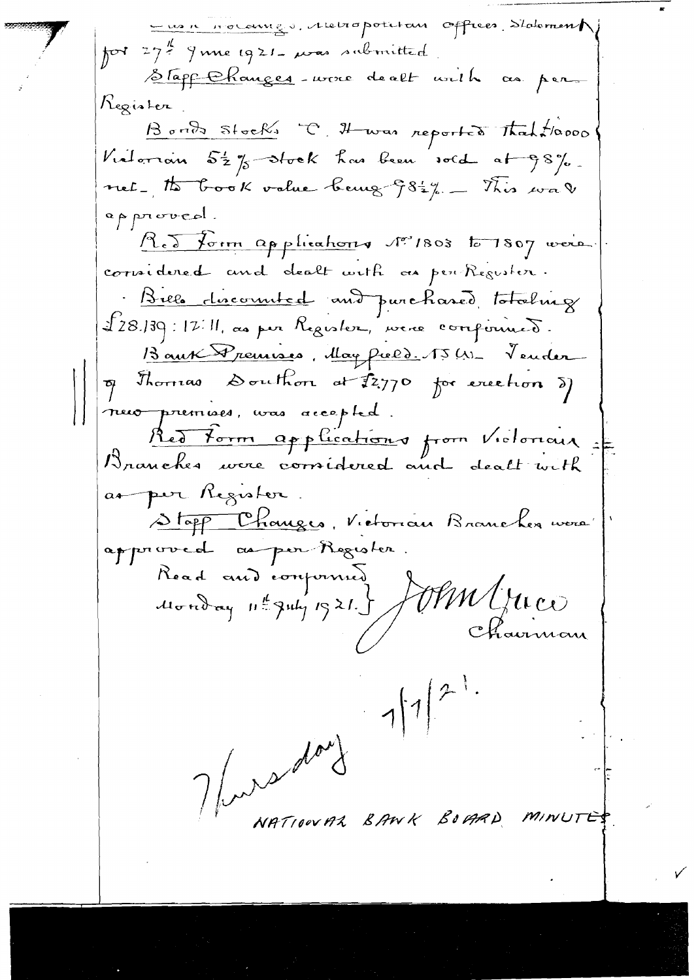un noumes. Aletropolition offices d'alement por 27. June 1921- mas submitted Stapp Changes-voire de alt with as per Register Bonds Stocks C. H was reported That 10000 Vialorian 52%-stock has been sold at 98%. net, to book value being 982%. This was approved. Red form applications No 1803 to 1807 were. cornidered and dealt with an per Register. Bills discounted and purchased totaling 228.139:12:11, au par Register, vere componient. Baux Premises, May Pield. 15 (1)- Vender of Thorrias Douthor at \$2.770 for exection of neur premises, was accepted. Red Form applications from Victoriais as per Register. Stopp Changes, Victorian Brancher vers approved as per Register. Read and component JMM/MCO NATIONAL BANK BOGAD MINUTES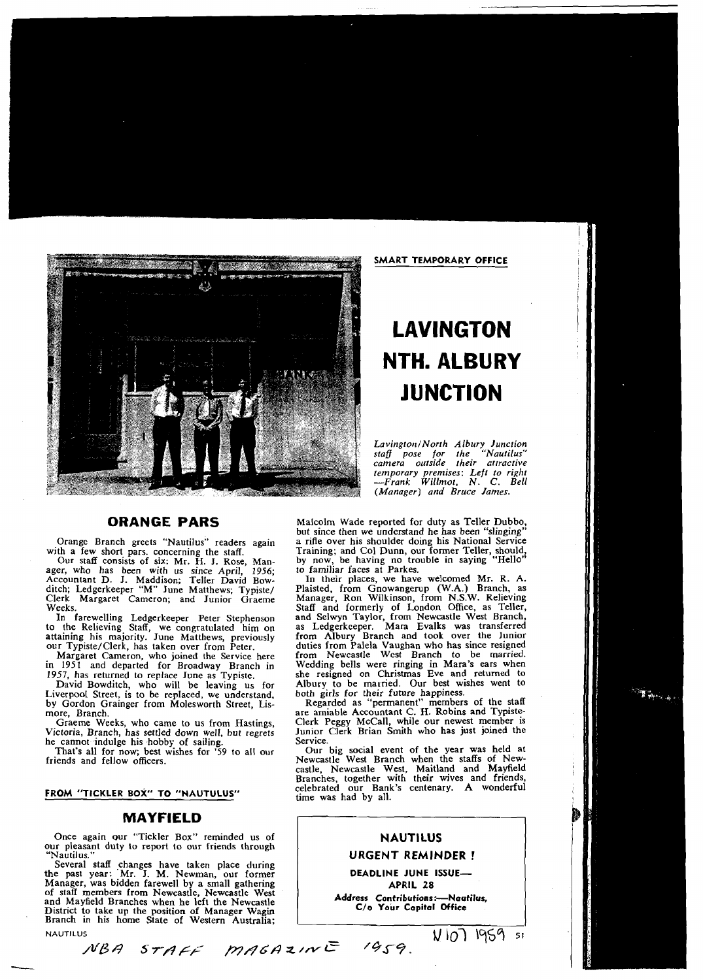

# **LAVINGTON NTH. ALBURY JUNCTION**

Lavington/North Albury Junction<br>staff pose for the "Nautilus"<br>camera outside their attractive *temporary premises: Left to right -Frank Willmor, N. C. Bell (Manager) and Bruce lames.* 

ager, who has been with us since April, 1956; to familiar faces at Parkes. Accountant D. J. Maddison; Teller David Bow- In their places, we have welcomed Mr. R. A.

Liverpool Street, is to be replaced, we understand, both girls for their future happiness.<br>by Gordon Grainger from Molesworth Street, Lis-<br>Regarded as "permanent" members of the staff by Gordon Grainger from Molesworth Street, Lis-<br>more, Branch.

he cannot indulge his hobby of sailing. Service.<br>That's all for now; best wishes for '59 to all our Our

## **MAYFIELD**

Once again our "Tickler Box" reminded us of **NAUTILUS**<br>
The pleasant duty to report to our friends through **NAUTILUS**<br>
NAUTILUS **NAUTILUS** our pleasant duty to report to our friends through

Several staff changes have taken place during the past year: 'Mr. J. M. Newman, our former **DEADLINE JUNE ISSUE-**Manager, was bidden farewell by a small gathering **APRIL 28 APRIL 28 APRIL 28 of staff members from Newcastle, Newcastle West**<br>and Mayfield Branches when he left the Newcastle **Address Contributions:—Nautilus**, and Mayfield Branches when he left the Newcastle **Address Contributions:**--Naut<br>District to take up the position of Manager Wasin District to take up the position of Manager Wagin **C/o Your Capital Office**  Branch in his home State of Western Australia;

**NAUTILUS** 

**ORANGE PARS** Malcolm Wade reported for duty as Teller Dubbo, but since then we understand he has been "slinging" Orange Branch greets "Nautilus" readers again a rifle over his shoulder doing his National Service<br>with a few short pars. concerning the staff. Training; and Col Dunn, our former Teller, should, with a few short pars. concerning the staff. Training; and Col Dunn, our former Teller, should,<br>"Our staff consists of six: Mr. H. J. Rose, Man- by now, be having no trouble in saying "Hello"

ditch; Ledgerkeeper "M" June Matthews; Typiste/ Plaisted, from Gnowangerup (W.A.) Branch, as<br>Clerk Margaret Cameron; and Junior Graeme Manager, Ron Wilkinson, from N.S.W. Relieving Weeks. In farewelling Ledgerkeeper Peter Stephenson and Selwyn Taylor, from Newcastle West Branch, In farewelling Ledgerkeeper Peter Stephenson and Selwyn Taylor, from Newcastle West Branch, to the Relieving Staff, we congratulated him on as Ledgerkeeper. Mara Evalks was transferred attaining his majority. June Matthews at the Matthews, previously match and took over the Junior duties from Palela Vaughan who has since resigned from Newcastle West Branch to be married. Margaret Cameron, who joined the Service here from Newcastle West Branch to be married. Wedding bells were ringing in Mara's ears when<br>she resigned on Christmas Eve and returned to 1957, has returned to replace June as Typiste. she resigned on Christmas Eve and returned to David Bowditch, who will be leaving us for Albury to be married. Our best wishes went to be replaced, we understand. both girls for their future happiness.

ore, Branch.<br>Graeme Weeks, who came to us from Hastings, Clerk Peggy McCall, while our newest member is Graeme Weeks, who came to us from Hastings, Clerk Peggy McCall, while our newest member is Victoria, Branch, has settled down well, but regrets Junior Clerk Brian Smith who has just joined the

That's all for now; best wishes for '59 to all our Our big social event of the year was held at friends and fellow officers.<br>
That's all for now; best wishes for '59 to all our Our big social event of the year was held at castle, Newcastle West, Maitland and Mayfield Branches, together with their wives and friends,<br> **FROM "TICKLER BOX" TO "NAUTULUS"** ime was had by all.<br>
time was had by all.

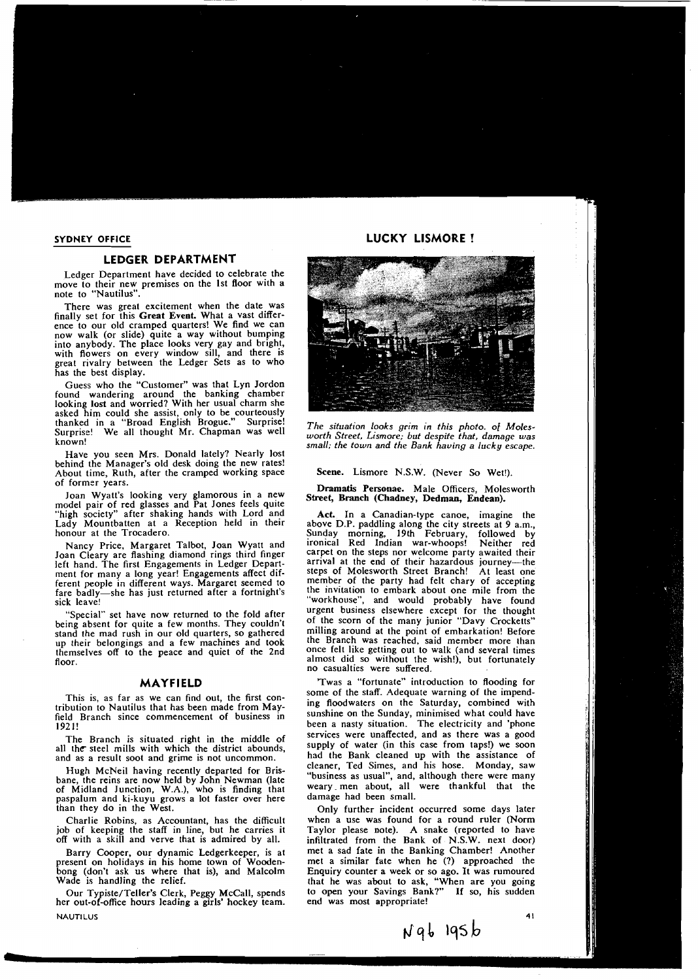## **LEDGER DEPARTMENT**

Ledger Department have decided to celebrate the move to their new premises on the 1st floor with a note to "Nautilus".

There was great excitement when the date was finally set for this **Great Event.** What a vast difference to our old cramped quarters! We find we can now walk (or slide) quite a way without bumping into anybody. The place looks very gay and bright, with flowers on every window sill, and there is great rivalry between the Ledger Sets as to who has the best display.

Guess who the "Customer" was that Lyn Jordon found wandering around the banking chamber looking lost and worried? With her usual charm she<br>asked him could she assist, only to be courteously thanked in a "Broad English Brogue." Surprise! The situation looks grim in this photo. of Moles-<br>Surprise! We all thought Mr. Chapman was well worth Street, Lismore, but despite that, damage was

Have you seen Mrs. Donald lately? Nearly lost behind the Manager's old desk doing the new rates! About time, Ruth, after the cramped working space Scene. Lismore N.S.W. (Never So Wet!).<br>of former years.

of former years.<br>
Joan Wyatt's looking very glamorous in a new **Street, Branch (Chadney, Dedman, Endean).**<br>
Joan Wyatt's looking very glamorous in a new **Street, Branch (Chadney, Dedman, Endean).**<br>
"high society" after sha "high society" after shaking hands with Lord and Act. In a Canadian-type canoe, imagine the Lady Mountbatten at a Reception held in their above D.P. paddling along the city streets at 9 a.m.,<br>honour at the Trocadero. Sunday morning. 19th February. followed by

Joan Cleary are flashing diamond rings third finger carpet on the steps nor welcome party awaited their<br>left hand. The first Engagements in Ledger Depart, arrival at the end of their hazardous journey—the left hand. The first Engagements in Ledger Depart- arrival at the end of their hazardous journey—the<br>ment for many a long year! Engagements affect dif- steps of Molesworth Street Branch! At least one ment for many a long year! Engagements affect dif-<br>ferent people in different ways. Margaret seemed to member of the party had felt chary of accepting ferent people in different ways. Margaret seemed to member of the Party had felt chary of accepting fare badly-she has just returned after a fortnight's sick leave!

being absent for quite a few months. They couldn't  $\sigma$ <sup>I</sup> the scorn of the many junior "Davy Crocketts" before stand the mad rush in our old quarters, so gathered and milling around at the point of embarkation! Before<br>un their belongings and a few machines and took all the Branch was reached, said member more than up their belongings and a few machines and took the Branch was reached, said member more than<br>themselves off to the peace and quiet of the 2nd once felt like getting out to walk (and several times themselves off to the peace and quiet of the 2nd

field Branch since commencement of business in sunshine on the Sunday, minimised what could have<br>field Branch since commencement of business in been a nasty situation. The electricity and 'phone

all the steel mills with which the district abounds, and as a result soot and grime is not uncommon.

bane, the reins are now held by John Newman (late  $\frac{1}{2}$  business as usual , and, although there were many of Midland Innetion  $W_A$ ) who is finding that  $\frac{1}{2}$  weary men about, all were thankful that the of Midland Junction, W.A.), who is finding that weary men about, all nasnalum and ki-kuvu grows a lot faster over here damage had been small. paspalum and ki-kuyu grows a lot faster over here than they do in the West.

job of keeping the staff in line, but he carries it Taylor please note). A snake (reported to have off with a skill and verve that is admired by all. infiltrated from the Bank of N.S.W. next door)

bong (don't ask us where that is), and Malcolm Enquiry counter a week or so ago. It was rumoured

her out-of-office hours leading a girls' hockey team. **NAUTILUS** 

# **SYDNEY OFFICE Example 20 ASSESSMENT CONTROLLY ASSESSMENT CONTROLLY ASSESSMENT CONTROLLY ASSESSMENT CONTROLLY AND A LUCKY LISMORE**



Surprise! We all thought Chapman was *worth Street, Lismore; but despite that, damage was* known! *small; the town and the Bank having a lucky escape.* 

Sunday morning, 19th February, followed by<br>ironical Red Indian war-whoops! Neither red Nancy Price, Margaret Talbot, Joan Wyatt and ironical Red Indian war-whoops! Neither red "workhouse", and would probably have found  $\sum_{n=1}^{\infty}$  set have now returned to the fold after urgent business elsewhere except for the thought  $\sum_{n=1}^{\infty}$  of the scorn of the many junior "Davy Crocketts" floor.<br>floor. almost did so without the wish!), but fortunately<br>no casualties were suffered.

**MAYFIELD** Twas a "fortunate" introduction to flooding for<br>some of the staff. Adequate warning of the impend-This is, as far as we can find out, the first con-<br>tribution to Nautilus that has been made from May-<br>field Branch since commencement of business in sunshine on the Sunday, minimised what could have been a nasty situation. The electricity and 'phone<br>services were unaffected, and as there was a good The Branch is situated right in the middle of services were unaffected, and as there was a good<br>the steel mills with which the district abounds supply of water (in this case from taps!) we soon had the Bank cleaned up with the assistance of cleaner, Ted Simes, and his hose. Monday, saw Hugh McNeil having recently departed for Bris-<br>ne the reins are now held by John Newman (late thusiness as usual", and, although there were many

Only further incident occurred some days later Charlie Robins, as Accountant, has the difficult when a use was found for a round ruler (Norm job of keeping the staff in line, but he carries it Taylor please note). A snake (reported to have infiltrated from the Bank of N.S.W. next door) Barry Cooper, our dynamic Ledgerkeeper, is at met a sad fate in the Banking Chamber! Another present on holidays in his home town of Wooden- met a similar fate when he (?) approached the met a similar fate when he (?) approached the that he was about to ask, "When are you going Our Typiste/Teller's Clerk, Peggy McCall, spends to open your Savings Bank?" If so, his sudden<br>r out-of-office hours leading a girls' hockey team. end was most appropriate!